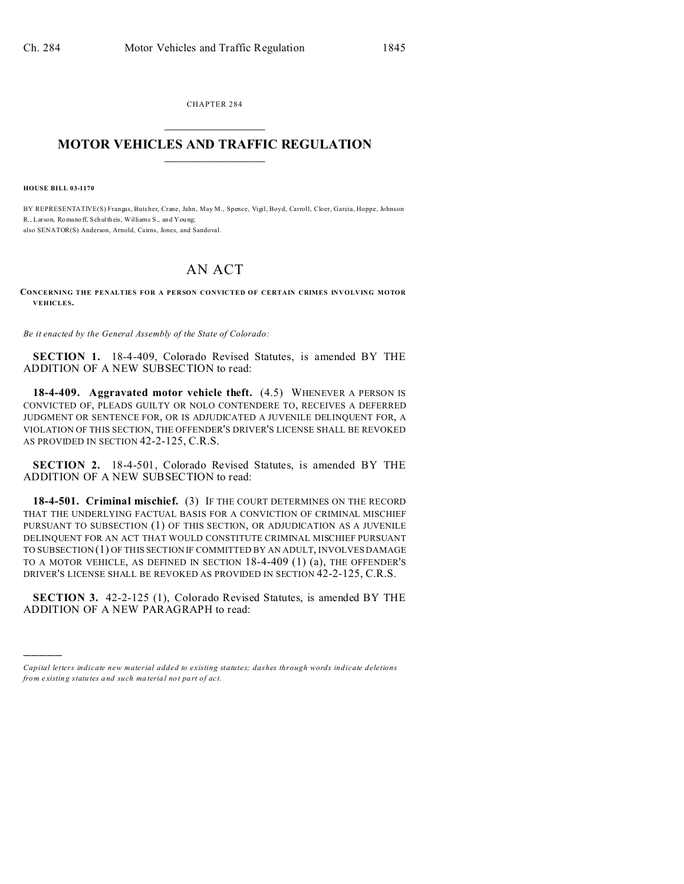CHAPTER 284  $\overline{\phantom{a}}$  , where  $\overline{\phantom{a}}$ 

## **MOTOR VEHICLES AND TRAFFIC REGULATION**  $\frac{1}{2}$  ,  $\frac{1}{2}$  ,  $\frac{1}{2}$  ,  $\frac{1}{2}$  ,  $\frac{1}{2}$  ,  $\frac{1}{2}$  ,  $\frac{1}{2}$

**HOUSE BILL 03-1170**

)))))

BY REPRESENTATIVE(S) Frangas, Butcher, Crane, Jahn, May M., Spence, Vigil, Boyd, Carroll, Cloer, Garcia, Hoppe, Johnson R., Larson, Romano ff, Schultheis, Williams S., and You ng; also SENATOR(S) Anderson, Arnold, Cairns, Jones, and Sandoval.

## AN ACT

**CONCERNING THE PENALTIES FOR A PERSON CONVICTED OF CERTAIN CRIMES INVOLVING MOTOR VEHICLES.**

*Be it enacted by the General Assembly of the State of Colorado:*

**SECTION 1.** 18-4-409, Colorado Revised Statutes, is amended BY THE ADDITION OF A NEW SUBSECTION to read:

**18-4-409.** Aggravated motor vehicle theft. (4.5) WHENEVER A PERSON IS CONVICTED OF, PLEADS GUILTY OR NOLO CONTENDERE TO, RECEIVES A DEFERRED JUDGMENT OR SENTENCE FOR, OR IS ADJUDICATED A JUVENILE DELINQUENT FOR, A VIOLATION OF THIS SECTION, THE OFFENDER'S DRIVER'S LICENSE SHALL BE REVOKED AS PROVIDED IN SECTION 42-2-125, C.R.S.

**SECTION 2.** 18-4-501, Colorado Revised Statutes, is amended BY THE ADDITION OF A NEW SUBSECTION to read:

**18-4-501. Criminal mischief.** (3) IF THE COURT DETERMINES ON THE RECORD THAT THE UNDERLYING FACTUAL BASIS FOR A CONVICTION OF CRIMINAL MISCHIEF PURSUANT TO SUBSECTION (1) OF THIS SECTION, OR ADJUDICATION AS A JUVENILE DELINQUENT FOR AN ACT THAT WOULD CONSTITUTE CRIMINAL MISCHIEF PURSUANT TO SUBSECTION (1) OF THIS SECTION IF COMMITTED BY AN ADULT, INVOLVES DAMAGE TO A MOTOR VEHICLE, AS DEFINED IN SECTION 18-4-409 (1) (a), THE OFFENDER'S DRIVER'S LICENSE SHALL BE REVOKED AS PROVIDED IN SECTION 42-2-125, C.R.S.

**SECTION 3.** 42-2-125 (1), Colorado Revised Statutes, is amended BY THE ADDITION OF A NEW PARAGRAPH to read:

*Capital letters indicate new material added to existing statutes; dashes through words indicate deletions from e xistin g statu tes a nd such ma teria l no t pa rt of ac t.*